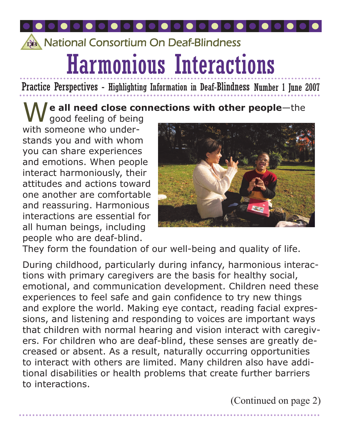# Harmonious Interactions **Band National Consortium On Deaf-Blindness**

Practice Perspectives - Highlighting Information in Deaf-Blindness Number 1 June 2007

#### $\sqrt{\phantom{a}}$  e all need close connections with other people-the

**V** good feeling of being with someone who understands you and with whom you can share experiences and emotions. When people interact harmoniously, their attitudes and actions toward one another are comfortable and reassuring. Harmonious interactions are essential for all human beings, including people who are deaf-blind.



They form the foundation of our well-being and quality of life.

During childhood, particularly during infancy, harmonious interactions with primary caregivers are the basis for healthy social, emotional, and communication development. Children need these experiences to feel safe and gain confidence to try new things and explore the world. Making eye contact, reading facial expressions, and listening and responding to voices are important ways that children with normal hearing and vision interact with caregivers. For children who are deaf-blind, these senses are greatly decreased or absent. As a result, naturally occurring opportunities to interact with others are limited. Many children also have additional disabilities or health problems that create further barriers to interactions.

(Continued on page 2)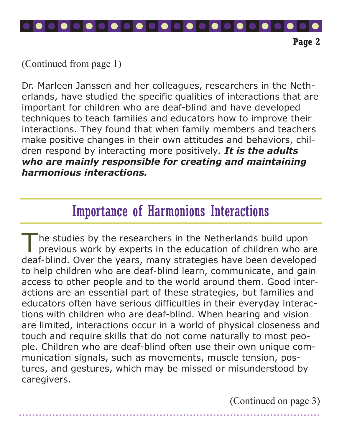

(Continued from page 1)

Dr. Marleen Janssen and her colleagues, researchers in the Netherlands, have studied the specific qualities of interactions that are important for children who are deaf-blind and have developed techniques to teach families and educators how to improve their interactions. They found that when family members and teachers make positive changes in their own attitudes and behaviors, children respond by interacting more positively. It is the adults who are mainly responsible for creating and maintaining harmonious interactions.

# Importance of Harmonious Interactions

The studies by the researchers in the Netherlands build upon previous work by experts in the education of children who are deaf-blind. Over the years, many strategies have been developed to help children who are deaf-blind learn, communicate, and gain access to other people and to the world around them. Good interactions are an essential part of these strategies, but families and educators often have serious difficulties in their everyday interactions with children who are deaf-blind. When hearing and vision are limited, interactions occur in a world of physical closeness and touch and require skills that do not come naturally to most people. Children who are deaf-blind often use their own unique communication signals, such as movements, muscle tension, postures, and gestures, which may be missed or misunderstood by caregivers.

(Continued on page 3)

Page 2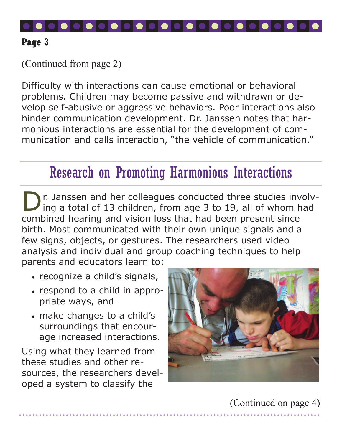

(Continued from page 2)

Difficulty with interactions can cause emotional or behavioral problems. Children may become passive and withdrawn or develop self-abusive or aggressive behaviors. Poor interactions also hinder communication development. Dr. Janssen notes that harmonious interactions are essential for the development of communication and calls interaction, "the vehicle of communication."

## Research on Promoting Harmonious Interactions

**D** r. Janssen and her colleagues conducted three studies involv-<br>ing a total of 13 children, from age 3 to 19, all of whom had combined hearing and vision loss that had been present since birth. Most communicated with their own unique signals and a few signs, objects, or gestures. The researchers used video analysis and individual and group coaching techniques to help parents and educators learn to:

- recognize a child's signals,
- respond to a child in appropriate ways, and
- make changes to a child's surroundings that encourage increased interactions.

Using what they learned from these studies and other resources, the researchers developed a system to classify the



(Continued on page 4)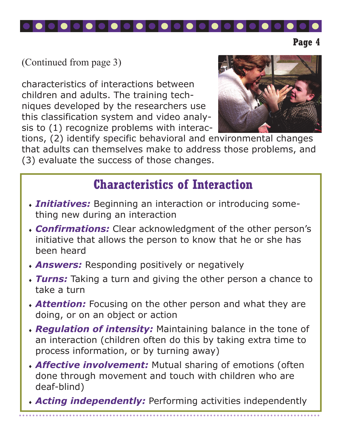

(Continued from page 3)

characteristics of interactions between children and adults. The training techniques developed by the researchers use this classification system and video analysis to (1) recognize problems with interac-



Page 4

tions, (2) identify specific behavioral and environmental changes that adults can themselves make to address those problems, and (3) evaluate the success of those changes.

### Characteristics of Interaction

- $\cdot$  Initiatives: Beginning an interaction or introducing something new during an interaction
- **Confirmations:** Clear acknowledgment of the other person's initiative that allows the person to know that he or she has been heard
- **Answers:** Responding positively or negatively
- Turns: Taking a turn and giving the other person a chance to take a turn
- **Attention:** Focusing on the other person and what they are doing, or on an object or action
- Regulation of intensity: Maintaining balance in the tone of an interaction (children often do this by taking extra time to process information, or by turning away)
- **Affective involvement:** Mutual sharing of emotions (often done through movement and touch with children who are deaf-blind)
- **Acting independently:** Performing activities independently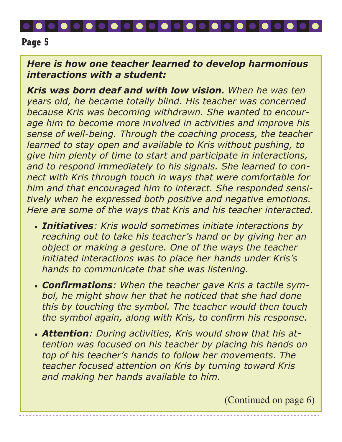#### Here is how one teacher learned to develop harmonious interactions with a student:

Kris was born deaf and with low vision. When he was ten years old, he became totally blind. His teacher was concerned because Kris was becoming withdrawn. She wanted to encourage him to become more involved in activities and improve his sense of well-being. Through the coaching process, the teacher learned to stay open and available to Kris without pushing, to give him plenty of time to start and participate in interactions, and to respond immediately to his signals. She learned to connect with Kris through touch in ways that were comfortable for him and that encouraged him to interact. She responded sensitively when he expressed both positive and negative emotions. Here are some of the ways that Kris and his teacher interacted.

- Initiatives: Kris would sometimes initiate interactions by reaching out to take his teacher's hand or by giving her an object or making a gesture. One of the ways the teacher initiated interactions was to place her hands under Kris's hands to communicate that she was listening.
- **Confirmations:** When the teacher gave Kris a tactile symbol, he might show her that he noticed that she had done this by touching the symbol. The teacher would then touch the symbol again, along with Kris, to confirm his response.
- Attention: During activities, Kris would show that his attention was focused on his teacher by placing his hands on top of his teacher's hands to follow her movements. The teacher focused attention on Kris by turning toward Kris and making her hands available to him.

(Continued on page 6)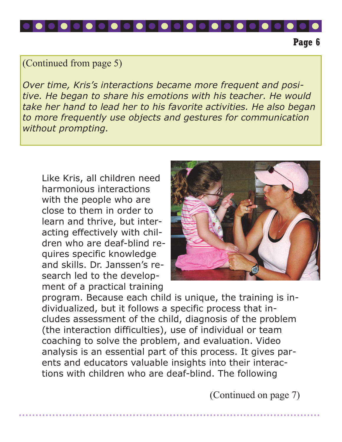

(Continued from page 5)

Over time, Kris's interactions became more frequent and positive. He began to share his emotions with his teacher. He would take her hand to lead her to his favorite activities. He also began to more frequently use objects and gestures for communication without prompting.

Like Kris, all children need harmonious interactions with the people who are close to them in order to learn and thrive, but interacting effectively with children who are deaf-blind requires specific knowledge and skills. Dr. Janssen's research led to the development of a practical training



Page 6

program. Because each child is unique, the training is individualized, but it follows a specific process that includes assessment of the child, diagnosis of the problem (the interaction difficulties), use of individual or team coaching to solve the problem, and evaluation. Video analysis is an essential part of this process. It gives parents and educators valuable insights into their interactions with children who are deaf-blind. The following

(Continued on page 7)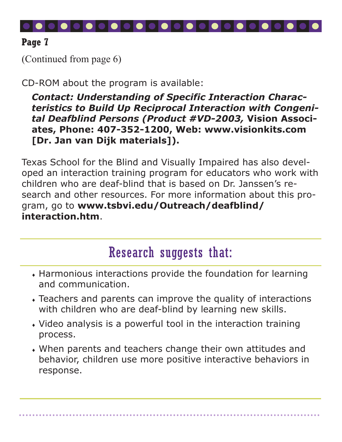

(Continued from page 6)

CD-ROM about the program is available:

Contact: Understanding of Specific Interaction Characteristics to Build Up Reciprocal Interaction with Congenital Deafblind Persons (Product #VD-2003, Vision Associates, Phone: 407-352-1200, Web: www.visionkits.com [Dr. Jan van Dijk materials]).

Texas School for the Blind and Visually Impaired has also developed an interaction training program for educators who work with children who are deaf-blind that is based on Dr. Janssen's research and other resources. For more information about this program, go to www.tsbvi.edu/Outreach/deafblind/ interaction.htm.

# Research suggests that:

- $\bullet$  Harmonious interactions provide the foundation for learning and communication.
- $\overline{\bullet}$  Teachers and parents can improve the quality of interactions with children who are deaf-blind by learning new skills.
- Video analysis is a powerful tool in the interaction training process.
- When parents and teachers change their own attitudes and behavior, children use more positive interactive behaviors in response.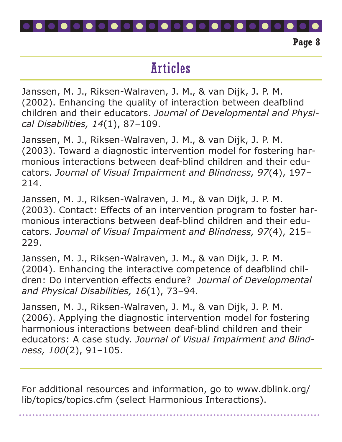

# Articles

Janssen, M. J., Riksen-Walraven, J. M., & van Dijk, J. P. M. (2002). Enhancing the quality of interaction between deafblind children and their educators. Journal of Developmental and Physical Disabilities, 14(1), 87–109.

Janssen, M. J., Riksen-Walraven, J. M., & van Dijk, J. P. M. (2003). Toward a diagnostic intervention model for fostering harmonious interactions between deaf-blind children and their educators. Journal of Visual Impairment and Blindness, 97(4), 197– 214.

Janssen, M. J., Riksen-Walraven, J. M., & van Dijk, J. P. M. (2003). Contact: Effects of an intervention program to foster harmonious interactions between deaf-blind children and their educators. Journal of Visual Impairment and Blindness, 97(4), 215– 229.

Janssen, M. J., Riksen-Walraven, J. M., & van Dijk, J. P. M. (2004). Enhancing the interactive competence of deafblind children: Do intervention effects endure? Journal of Developmental and Physical Disabilities, 16(1), 73–94.

Janssen, M. J., Riksen-Walraven, J. M., & van Dijk, J. P. M. (2006). Applying the diagnostic intervention model for fostering harmonious interactions between deaf-blind children and their educators: A case study. Journal of Visual Impairment and Blindness, 100(2), 91–105.

For additional resources and information, go to www.dblink.org/ lib/topics/topics.cfm (select Harmonious Interactions).